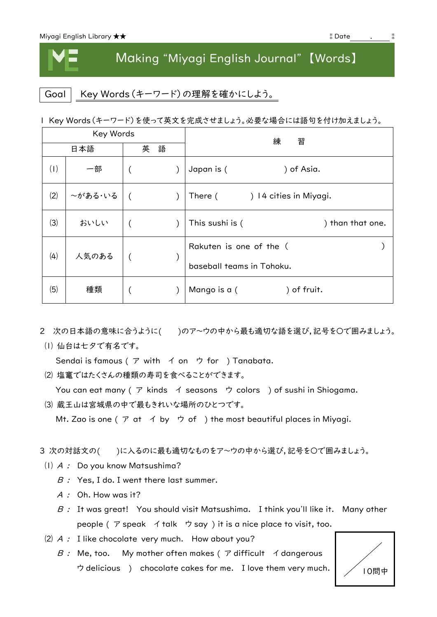## Making "Miyagi English Journal" 【Words】

Goal | Key Words (キーワード)の理解を確かにしよう。

1 Key Words(キーワード)を使って英文を完成させましょう。必要な場合には語句を付け加えましょう。

| Key Words |         |        |  | 練<br>習                                               |  |
|-----------|---------|--------|--|------------------------------------------------------|--|
| 日本語       |         | 語<br>英 |  |                                                      |  |
| (1)       | 一部      |        |  | Japan is (<br>) of Asia.                             |  |
| (2)       | ~がある・いる |        |  | ) 14 cities in Miyagi.<br>There (                    |  |
| (3)       | おいしい    |        |  | This sushi is (<br>) than that one.                  |  |
| (4)       | 人気のある   |        |  | Rakuten is one of the (<br>baseball teams in Tohoku. |  |
| (5)       | 種類      |        |  | Mango is a (<br>) of fruit.                          |  |

- 2 次の日本語の意味に合うように()のア~ウの中から最も適切な語を選び,記号を○で囲みましょう。 ⑴ 仙台は七夕で有名です。
	- Sendai is famous ( ア with イ on ウ for ) Tanabata.
	- ⑵ 塩竃ではたくさんの種類の寿司を食べることができます。

You can eat many ( ア kinds イ seasons ウ colors ) of sushi in Shiogama.

⑶ 蔵王山は宮城県の中で最もきれいな場所のひとつです。

Mt. Zao is one ( $\mathcal P$  at  $\mathcal A$  by  $\mathcal P$  of ) the most beautiful places in Miyagi.

- 3 次の対話文の( )に入るのに最も適切なものをア~ウの中から選び,記号を○で囲みましょう。
- ⑴ A : Do you know Matsushima?
	- $B:$  Yes, I do. I went there last summer.
	- $A:$  Oh. How was it?
	- $B$  : It was great! You should visit Matsushima. I think you'll like it. Many other people (ア speak イ talk ウ say) it is a nice place to visit, too.
- $(2)$  A : I like chocolate very much. How about you?
	- $B$  : Me, too. My mother often makes (  $\mathcal P$  difficult  $\mathcal A$  dangerous ウ delicious ) chocolate cakes for me. I love them very much.